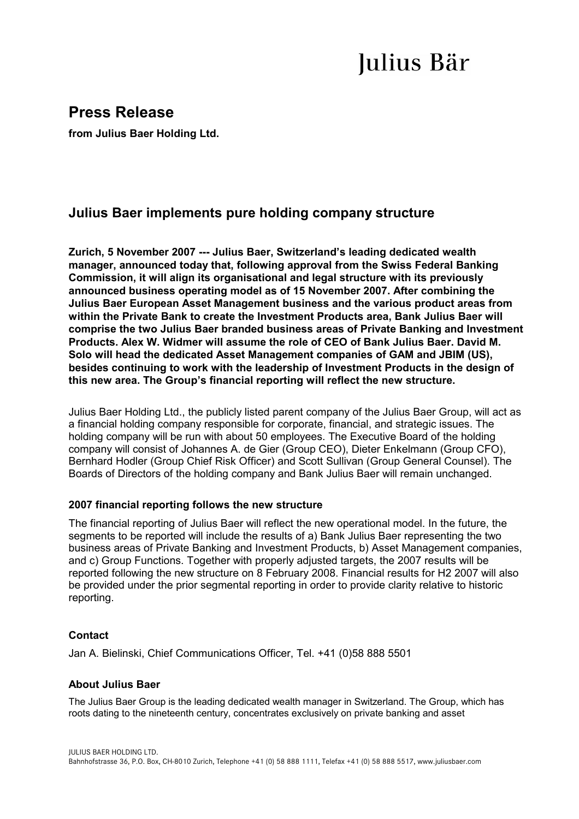# Julius Bär

## **Press Release**

**from Julius Baer Holding Ltd.** 

### **Julius Baer implements pure holding company structure**

**Zurich, 5 November 2007 --- Julius Baer, Switzerland's leading dedicated wealth manager, announced today that, following approval from the Swiss Federal Banking Commission, it will align its organisational and legal structure with its previously announced business operating model as of 15 November 2007. After combining the Julius Baer European Asset Management business and the various product areas from within the Private Bank to create the Investment Products area, Bank Julius Baer will comprise the two Julius Baer branded business areas of Private Banking and Investment Products. Alex W. Widmer will assume the role of CEO of Bank Julius Baer. David M. Solo will head the dedicated Asset Management companies of GAM and JBIM (US), besides continuing to work with the leadership of Investment Products in the design of this new area. The Group's financial reporting will reflect the new structure.** 

Julius Baer Holding Ltd., the publicly listed parent company of the Julius Baer Group, will act as a financial holding company responsible for corporate, financial, and strategic issues. The holding company will be run with about 50 employees. The Executive Board of the holding company will consist of Johannes A. de Gier (Group CEO), Dieter Enkelmann (Group CFO), Bernhard Hodler (Group Chief Risk Officer) and Scott Sullivan (Group General Counsel). The Boards of Directors of the holding company and Bank Julius Baer will remain unchanged.

#### **2007 financial reporting follows the new structure**

The financial reporting of Julius Baer will reflect the new operational model. In the future, the segments to be reported will include the results of a) Bank Julius Baer representing the two business areas of Private Banking and Investment Products, b) Asset Management companies, and c) Group Functions. Together with properly adjusted targets, the 2007 results will be reported following the new structure on 8 February 2008. Financial results for H2 2007 will also be provided under the prior segmental reporting in order to provide clarity relative to historic reporting.

#### **Contact**

Jan A. Bielinski, Chief Communications Officer, Tel. +41 (0)58 888 5501

#### **About Julius Baer**

The Julius Baer Group is the leading dedicated wealth manager in Switzerland. The Group, which has roots dating to the nineteenth century, concentrates exclusively on private banking and asset